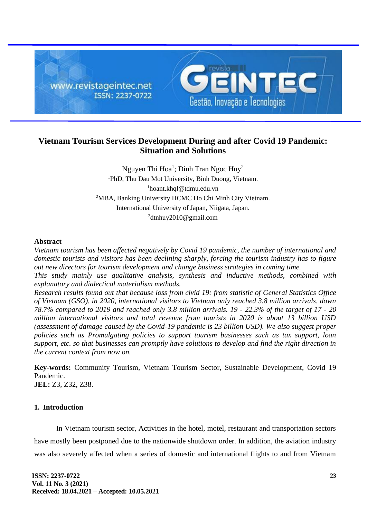

# **Vietnam Tourism Services Development During and after Covid 19 Pandemic: Situation and Solutions**

Nguyen Thi Hoa<sup>1</sup>; Dinh Tran Ngoc Huy<sup>2</sup> PhD, Thu Dau Mot University, Binh Duong, Vietnam. hoant.khql@tdmu.edu.vn MBA, Banking University HCMC Ho Chi Minh City Vietnam. International University of Japan, Niigata, Japan. dtnhuy2010@gmail.com

## **Abstract**

*Vietnam tourism has been affected negatively by Covid 19 pandemic, the number of international and domestic tourists and visitors has been declining sharply, forcing the tourism industry has to figure out new directors for tourism development and change business strategies in coming time.*

*This study mainly use qualitative analysis, synthesis and inductive methods, combined with explanatory and dialectical materialism methods.*

*Research results found out that because loss from civid 19: from statistic of General Statistics Office of Vietnam (GSO), in 2020, international visitors to Vietnam only reached 3.8 million arrivals, down 78.7% compared to 2019 and reached only 3.8 million arrivals. 19 - 22.3% of the target of 17 - 20 million international visitors and total revenue from tourists in 2020 is about 13 billion USD (assessment of damage caused by the Covid-19 pandemic is 23 billion USD). We also suggest proper policies such as Promulgating policies to support tourism businesses such as tax support, loan support, etc. so that businesses can promptly have solutions to develop and find the right direction in the current context from now on.*

**Key-words:** Community Tourism, Vietnam Tourism Sector, Sustainable Development, Covid 19 Pandemic. **JEL:** Z3, Z32, Z38.

# **1. Introduction**

In Vietnam tourism sector, Activities in the hotel, motel, restaurant and transportation sectors have mostly been postponed due to the nationwide shutdown order. In addition, the aviation industry was also severely affected when a series of domestic and international flights to and from Vietnam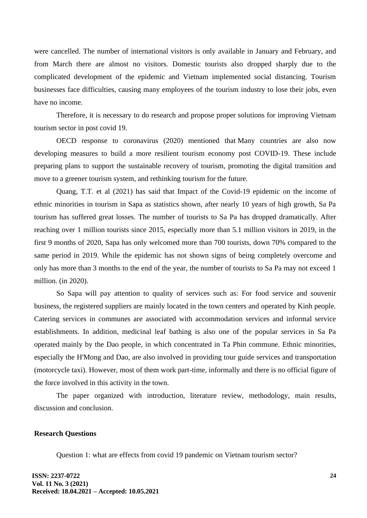were cancelled. The number of international visitors is only available in January and February, and from March there are almost no visitors. Domestic tourists also dropped sharply due to the complicated development of the epidemic and Vietnam implemented social distancing. Tourism businesses face difficulties, causing many employees of the tourism industry to lose their jobs, even have no income.

Therefore, it is necessary to do research and propose proper solutions for improving Vietnam tourism sector in post covid 19.

OECD response to coronavirus (2020) mentioned that Many countries are also now developing measures to build a more resilient tourism economy post COVID-19. These include preparing plans to support the sustainable recovery of tourism, promoting the digital transition and move to a greener tourism system, and rethinking tourism for the future.

Quang, T.T. et al (2021) has said that Impact of the Covid-19 epidemic on the income of ethnic minorities in tourism in Sapa as statistics shown, after nearly 10 years of high growth, Sa Pa tourism has suffered great losses. The number of tourists to Sa Pa has dropped dramatically. After reaching over 1 million tourists since 2015, especially more than 5.1 million visitors in 2019, in the first 9 months of 2020, Sapa has only welcomed more than 700 tourists, down 70% compared to the same period in 2019. While the epidemic has not shown signs of being completely overcome and only has more than 3 months to the end of the year, the number of tourists to Sa Pa may not exceed 1 million. (in 2020).

So Sapa will pay attention to quality of services such as: For food service and souvenir business, the registered suppliers are mainly located in the town centers and operated by Kinh people. Catering services in communes are associated with accommodation services and informal service establishments. In addition, medicinal leaf bathing is also one of the popular services in Sa Pa operated mainly by the Dao people, in which concentrated in Ta Phin commune. Ethnic minorities, especially the H'Mong and Dao, are also involved in providing tour guide services and transportation (motorcycle taxi). However, most of them work part-time, informally and there is no official figure of the force involved in this activity in the town.

The paper organized with introduction, literature review, methodology, main results, discussion and conclusion.

#### **Research Questions**

Question 1: what are effects from covid 19 pandemic on Vietnam tourism sector?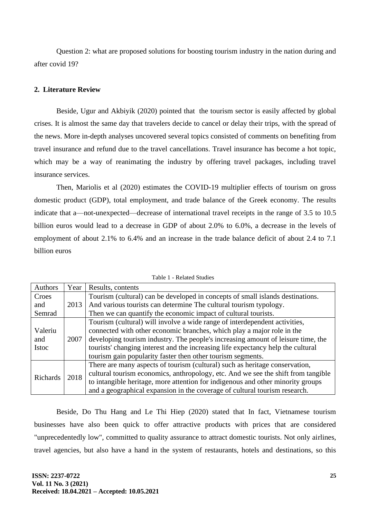Question 2: what are proposed solutions for boosting tourism industry in the nation during and after covid 19?

## **2. Literature Review**

Beside, Ugur and Akbiyik (2020) pointed that the tourism sector is easily affected by global crises. It is almost the same day that travelers decide to cancel or delay their trips, with the spread of the news. More in-depth analyses uncovered several topics consisted of comments on benefiting from travel insurance and refund due to the travel cancellations. Travel insurance has become a hot topic, which may be a way of reanimating the industry by offering travel packages, including travel insurance services.

Then, Mariolis et al (2020) estimates the COVID-19 multiplier effects of tourism on gross domestic product (GDP), total employment, and trade balance of the Greek economy. The results indicate that a—not-unexpected—decrease of international travel receipts in the range of 3.5 to 10.5 billion euros would lead to a decrease in GDP of about 2.0% to 6.0%, a decrease in the levels of employment of about 2.1% to 6.4% and an increase in the trade balance deficit of about 2.4 to 7.1 billion euros

| Authors                        | Year | Results, contents                                                                 |
|--------------------------------|------|-----------------------------------------------------------------------------------|
| Croes                          |      | Tourism (cultural) can be developed in concepts of small islands destinations.    |
| and                            | 2013 | And various tourists can determine The cultural tourism typology.                 |
| Semrad                         |      | Then we can quantify the economic impact of cultural tourists.                    |
| Valeriu<br>and<br><b>Istoc</b> | 2007 | Tourism (cultural) will involve a wide range of interdependent activities,        |
|                                |      | connected with other economic branches, which play a major role in the            |
|                                |      | developing tourism industry. The people's increasing amount of leisure time, the  |
|                                |      | tourists' changing interest and the increasing life expectancy help the cultural  |
|                                |      | tourism gain popularity faster then other tourism segments.                       |
| <b>Richards</b>                | 2018 | There are many aspects of tourism (cultural) such as heritage conservation,       |
|                                |      | cultural tourism economics, anthropology, etc. And we see the shift from tangible |
|                                |      | to intangible heritage, more attention for indigenous and other minority groups   |
|                                |      | and a geographical expansion in the coverage of cultural tourism research.        |

Table 1 - Related Studies

Beside, Do Thu Hang and Le Thi Hiep (2020) stated that In fact, Vietnamese tourism businesses have also been quick to offer attractive products with prices that are considered "unprecedentedly low", committed to quality assurance to attract domestic tourists. Not only airlines, travel agencies, but also have a hand in the system of restaurants, hotels and destinations, so this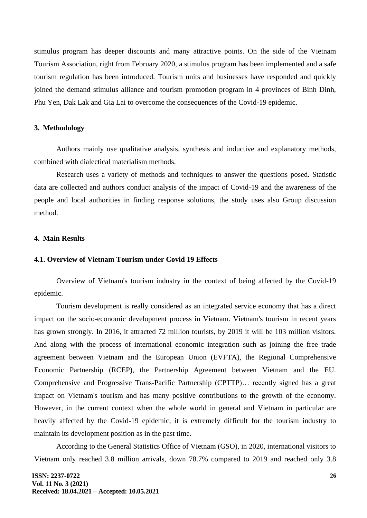stimulus program has deeper discounts and many attractive points. On the side of the Vietnam Tourism Association, right from February 2020, a stimulus program has been implemented and a safe tourism regulation has been introduced. Tourism units and businesses have responded and quickly joined the demand stimulus alliance and tourism promotion program in 4 provinces of Binh Dinh, Phu Yen, Dak Lak and Gia Lai to overcome the consequences of the Covid-19 epidemic.

## **3. Methodology**

Authors mainly use qualitative analysis, synthesis and inductive and explanatory methods, combined with dialectical materialism methods.

Research uses a variety of methods and techniques to answer the questions posed. Statistic data are collected and authors conduct analysis of the impact of Covid-19 and the awareness of the people and local authorities in finding response solutions, the study uses also Group discussion method.

#### **4. Main Results**

## **4.1. Overview of Vietnam Tourism under Covid 19 Effects**

Overview of Vietnam's tourism industry in the context of being affected by the Covid-19 epidemic.

Tourism development is really considered as an integrated service economy that has a direct impact on the socio-economic development process in Vietnam. Vietnam's tourism in recent years has grown strongly. In 2016, it attracted 72 million tourists, by 2019 it will be 103 million visitors. And along with the process of international economic integration such as joining the free trade agreement between Vietnam and the European Union (EVFTA), the Regional Comprehensive Economic Partnership (RCEP), the Partnership Agreement between Vietnam and the EU. Comprehensive and Progressive Trans-Pacific Partnership (CPTTP)… recently signed has a great impact on Vietnam's tourism and has many positive contributions to the growth of the economy. However, in the current context when the whole world in general and Vietnam in particular are heavily affected by the Covid-19 epidemic, it is extremely difficult for the tourism industry to maintain its development position as in the past time.

According to the General Statistics Office of Vietnam (GSO), in 2020, international visitors to Vietnam only reached 3.8 million arrivals, down 78.7% compared to 2019 and reached only 3.8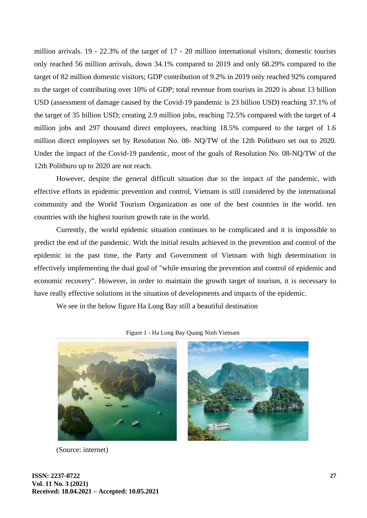million arrivals. 19 - 22.3% of the target of 17 - 20 million international visitors; domestic tourists only reached 56 million arrivals, down 34.1% compared to 2019 and only 68.29% compared to the target of 82 million domestic visitors; GDP contribution of 9.2% in 2019 only reached 92% compared to the target of contributing over 10% of GDP; total revenue from tourists in 2020 is about 13 billion USD (assessment of damage caused by the Covid-19 pandemic is 23 billion USD) reaching 37.1% of the target of 35 billion USD; creating 2.9 million jobs, reaching 72.5% compared with the target of 4 million jobs and 297 thousand direct employees, reaching 18.5% compared to the target of 1.6 million direct employees set by Resolution No. 08- NQ/TW of the 12th Politburo set out to 2020. Under the impact of the Covid-19 pandemic, most of the goals of Resolution No. 08-NQ/TW of the 12th Politburo up to 2020 are not reach.

However, despite the general difficult situation due to the impact of the pandemic, with effective efforts in epidemic prevention and control, Vietnam is still considered by the international community and the World Tourism Organization as one of the best countries in the world. ten countries with the highest tourism growth rate in the world.

Currently, the world epidemic situation continues to be complicated and it is impossible to predict the end of the pandemic. With the initial results achieved in the prevention and control of the epidemic in the past time, the Party and Government of Vietnam with high determination in effectively implementing the dual goal of "while ensuring the prevention and control of epidemic and economic recovery". However, in order to maintain the growth target of tourism, it is necessary to have really effective solutions in the situation of developments and impacts of the epidemic.

We see in the below figure Ha Long Bay still a beautiful destination



Figure 1 - Ha Long Bay Quang Ninh Vietnam

(Source: internet)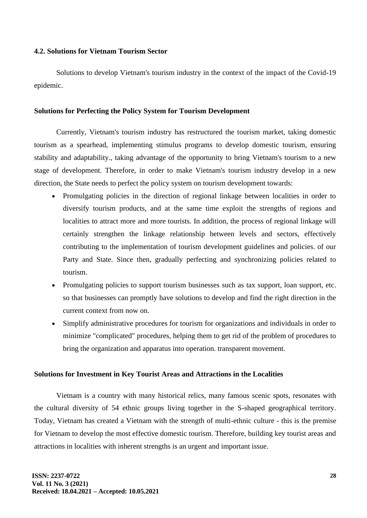## **4.2. Solutions for Vietnam Tourism Sector**

Solutions to develop Vietnam's tourism industry in the context of the impact of the Covid-19 epidemic.

## **Solutions for Perfecting the Policy System for Tourism Development**

Currently, Vietnam's tourism industry has restructured the tourism market, taking domestic tourism as a spearhead, implementing stimulus programs to develop domestic tourism, ensuring stability and adaptability., taking advantage of the opportunity to bring Vietnam's tourism to a new stage of development. Therefore, in order to make Vietnam's tourism industry develop in a new direction, the State needs to perfect the policy system on tourism development towards:

- Promulgating policies in the direction of regional linkage between localities in order to diversify tourism products, and at the same time exploit the strengths of regions and localities to attract more and more tourists. In addition, the process of regional linkage will certainly strengthen the linkage relationship between levels and sectors, effectively contributing to the implementation of tourism development guidelines and policies. of our Party and State. Since then, gradually perfecting and synchronizing policies related to tourism.
- Promulgating policies to support tourism businesses such as tax support, loan support, etc. so that businesses can promptly have solutions to develop and find the right direction in the current context from now on.
- Simplify administrative procedures for tourism for organizations and individuals in order to minimize "complicated" procedures, helping them to get rid of the problem of procedures to bring the organization and apparatus into operation. transparent movement.

#### **Solutions for Investment in Key Tourist Areas and Attractions in the Localities**

Vietnam is a country with many historical relics, many famous scenic spots, resonates with the cultural diversity of 54 ethnic groups living together in the S-shaped geographical territory. Today, Vietnam has created a Vietnam with the strength of multi-ethnic culture - this is the premise for Vietnam to develop the most effective domestic tourism. Therefore, building key tourist areas and attractions in localities with inherent strengths is an urgent and important issue.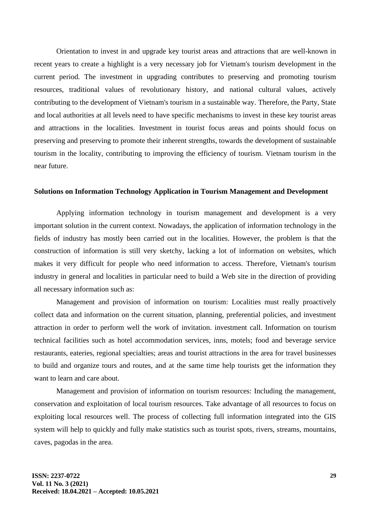Orientation to invest in and upgrade key tourist areas and attractions that are well-known in recent years to create a highlight is a very necessary job for Vietnam's tourism development in the current period. The investment in upgrading contributes to preserving and promoting tourism resources, traditional values of revolutionary history, and national cultural values, actively contributing to the development of Vietnam's tourism in a sustainable way. Therefore, the Party, State and local authorities at all levels need to have specific mechanisms to invest in these key tourist areas and attractions in the localities. Investment in tourist focus areas and points should focus on preserving and preserving to promote their inherent strengths, towards the development of sustainable tourism in the locality, contributing to improving the efficiency of tourism. Vietnam tourism in the near future.

#### **Solutions on Information Technology Application in Tourism Management and Development**

Applying information technology in tourism management and development is a very important solution in the current context. Nowadays, the application of information technology in the fields of industry has mostly been carried out in the localities. However, the problem is that the construction of information is still very sketchy, lacking a lot of information on websites, which makes it very difficult for people who need information to access. Therefore, Vietnam's tourism industry in general and localities in particular need to build a Web site in the direction of providing all necessary information such as:

Management and provision of information on tourism: Localities must really proactively collect data and information on the current situation, planning, preferential policies, and investment attraction in order to perform well the work of invitation. investment call. Information on tourism technical facilities such as hotel accommodation services, inns, motels; food and beverage service restaurants, eateries, regional specialties; areas and tourist attractions in the area for travel businesses to build and organize tours and routes, and at the same time help tourists get the information they want to learn and care about.

Management and provision of information on tourism resources: Including the management, conservation and exploitation of local tourism resources. Take advantage of all resources to focus on exploiting local resources well. The process of collecting full information integrated into the GIS system will help to quickly and fully make statistics such as tourist spots, rivers, streams, mountains, caves, pagodas in the area.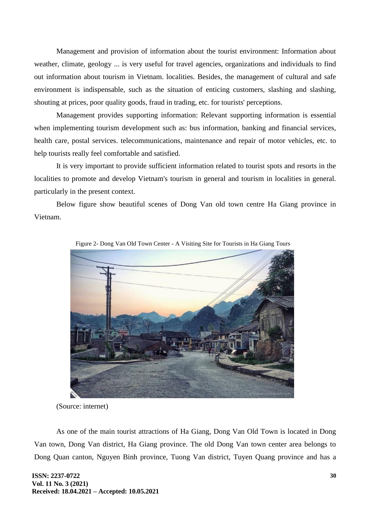Management and provision of information about the tourist environment: Information about weather, climate, geology ... is very useful for travel agencies, organizations and individuals to find out information about tourism in Vietnam. localities. Besides, the management of cultural and safe environment is indispensable, such as the situation of enticing customers, slashing and slashing, shouting at prices, poor quality goods, fraud in trading, etc. for tourists' perceptions.

Management provides supporting information: Relevant supporting information is essential when implementing tourism development such as: bus information, banking and financial services, health care, postal services. telecommunications, maintenance and repair of motor vehicles, etc. to help tourists really feel comfortable and satisfied.

It is very important to provide sufficient information related to tourist spots and resorts in the localities to promote and develop Vietnam's tourism in general and tourism in localities in general. particularly in the present context.

Below figure show beautiful scenes of Dong Van old town centre Ha Giang province in Vietnam.



Figure 2- Dong Van Old Town Center - A Visiting Site for Tourists in Ha Giang Tours

(Source: internet)

As one of the main tourist attractions of Ha Giang, Dong Van Old Town is located in Dong Van town, Dong Van district, Ha Giang province. The old Dong Van town center area belongs to Dong Quan canton, Nguyen Binh province, Tuong Van district, Tuyen Quang province and has a

**ISSN: 2237-0722 Vol. 11 No. 3 (2021) Received: 18.04.2021 – Accepted: 10.05.2021**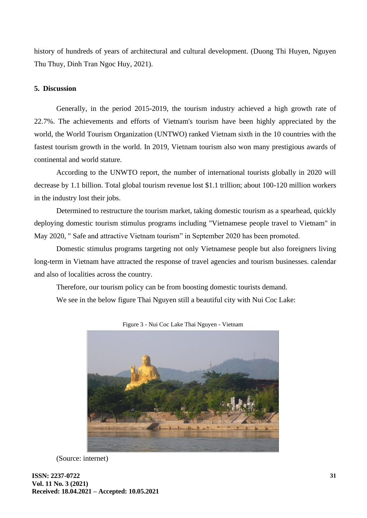history of hundreds of years of architectural and cultural development. (Duong Thi Huyen, Nguyen Thu Thuy, Dinh Tran Ngoc Huy, 2021).

# **5. Discussion**

Generally, in the period 2015-2019, the tourism industry achieved a high growth rate of 22.7%. The achievements and efforts of Vietnam's tourism have been highly appreciated by the world, the World Tourism Organization (UNTWO) ranked Vietnam sixth in the 10 countries with the fastest tourism growth in the world. In 2019, Vietnam tourism also won many prestigious awards of continental and world stature.

According to the UNWTO report, the number of international tourists globally in 2020 will decrease by 1.1 billion. Total global tourism revenue lost \$1.1 trillion; about 100-120 million workers in the industry lost their jobs.

Determined to restructure the tourism market, taking domestic tourism as a spearhead, quickly deploying domestic tourism stimulus programs including "Vietnamese people travel to Vietnam" in May 2020, " Safe and attractive Vietnam tourism" in September 2020 has been promoted.

Domestic stimulus programs targeting not only Vietnamese people but also foreigners living long-term in Vietnam have attracted the response of travel agencies and tourism businesses. calendar and also of localities across the country.

Therefore, our tourism policy can be from boosting domestic tourists demand.

We see in the below figure Thai Nguyen still a beautiful city with Nui Coc Lake:



Figure 3 - Nui Coc Lake Thai Nguyen - Vietnam

(Source: internet)

**ISSN: 2237-0722 Vol. 11 No. 3 (2021) Received: 18.04.2021 – Accepted: 10.05.2021**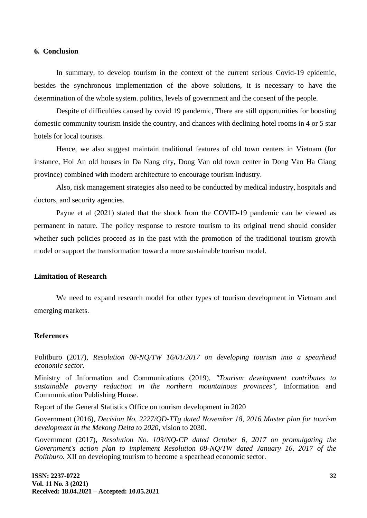#### **6. Conclusion**

In summary, to develop tourism in the context of the current serious Covid-19 epidemic, besides the synchronous implementation of the above solutions, it is necessary to have the determination of the whole system. politics, levels of government and the consent of the people.

Despite of difficulties caused by covid 19 pandemic, There are still opportunities for boosting domestic community tourism inside the country, and chances with declining hotel rooms in 4 or 5 star hotels for local tourists.

Hence, we also suggest maintain traditional features of old town centers in Vietnam (for instance, Hoi An old houses in Da Nang city, Dong Van old town center in Dong Van Ha Giang province) combined with modern architecture to encourage tourism industry.

Also, risk management strategies also need to be conducted by medical industry, hospitals and doctors, and security agencies.

Payne et al (2021) stated that the shock from the COVID-19 pandemic can be viewed as permanent in nature. The policy response to restore tourism to its original trend should consider whether such policies proceed as in the past with the promotion of the traditional tourism growth model or support the transformation toward a more sustainable tourism model.

## **Limitation of Research**

We need to expand research model for other types of tourism development in Vietnam and emerging markets.

#### **References**

Politburo (2017), *Resolution 08-NQ/TW 16/01/2017 on developing tourism into a spearhead economic sector.*

Ministry of Information and Communications (2019), *"Tourism development contributes to sustainable poverty reduction in the northern mountainous provinces",* Information and Communication Publishing House.

Report of the General Statistics Office on tourism development in 2020

Government (2016), *Decision No. 2227/QD-TTg dated November 18, 2016 Master plan for tourism development in the Mekong Delta to 2020,* vision to 2030.

Government (2017), *Resolution No. 103/NQ-CP dated October 6, 2017 on promulgating the Government's action plan to implement Resolution 08-NQ/TW dated January 16, 2017 of the Politburo.* XII on developing tourism to become a spearhead economic sector.

**ISSN: 2237-0722 Vol. 11 No. 3 (2021) Received: 18.04.2021 – Accepted: 10.05.2021**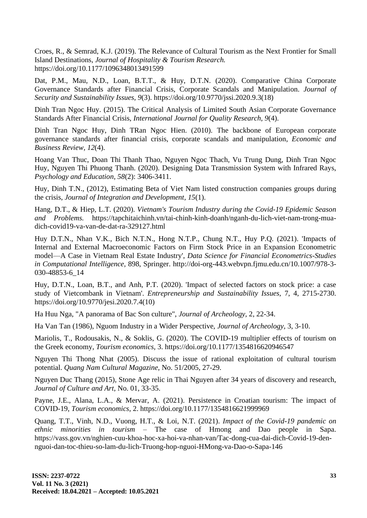Croes, R., & Semrad, K.J. (2019). The Relevance of Cultural Tourism as the Next Frontier for Small Island Destinations, *Journal of Hospitality & Tourism Research.* https://doi.org/10.1177/1096348013491599

Dat, P.M., Mau, N.D., Loan, B.T.T., & Huy, D.T.N. (2020). Comparative China Corporate Governance Standards after Financial Crisis, Corporate Scandals and Manipulation. *Journal of Security and Sustainability Issues, 9*(3). https://doi.org/10.9770/jssi.2020.9.3(18)

Dinh Tran Ngoc Huy. (2015). The Critical Analysis of Limited South Asian Corporate Governance Standards After Financial Crisis, *International Journal for Quality Research, 9*(4).

Dinh Tran Ngoc Huy, Dinh TRan Ngoc Hien. (2010). The backbone of European corporate governance standards after financial crisis, corporate scandals and manipulation, *Economic and Business Review, 12*(4).

Hoang Van Thuc, Doan Thi Thanh Thao, Nguyen Ngoc Thach, Vu Trung Dung, Dinh Tran Ngoc Huy, Nguyen Thi Phuong Thanh. (2020). Designing Data Transmission System with Infrared Rays, *Psychology and Education, 58*(2): 3406-3411.

Huy, Dinh T.N., (2012), Estimating Beta of Viet Nam listed construction companies groups during the crisis, *Journal of Integration and Development, 15*(1).

Hang, D.T., & Hiep, L.T. (2020). *Vietnam's Tourism Industry during the Covid-19 Epidemic Season and Problems.* https://tapchitaichinh.vn/tai-chinh-kinh-doanh/nganh-du-lich-viet-nam-trong-muadich-covid19-va-van-de-dat-ra-329127.html

Huy D.T.N., Nhan V.K., Bich N.T.N., Hong N.T.P., Chung N.T., Huy P.Q. (2021). 'Impacts of Internal and External Macroeconomic Factors on Firm Stock Price in an Expansion Econometric model—A Case in Vietnam Real Estate Industry', *Data Science for Financial Econometrics-Studies in Computational Intelligence,* 898, Springer. http://doi-org-443.webvpn.fjmu.edu.cn/10.1007/978-3- 030-48853-6\_14

Huy, D.T.N., Loan, B.T., and Anh, P.T. (2020). 'Impact of selected factors on stock price: a case study of Vietcombank in Vietnam'. *Entrepreneurship and Sustainability Issues,* 7, 4, 2715-2730. https://doi.org/10.9770/jesi.2020.7.4(10)

Ha Huu Nga, "A panorama of Bac Son culture", *Journal of Archeology,* 2, 22-34.

Ha Van Tan (1986), Nguom Industry in a Wider Perspective, *Journal of Archeology,* 3, 3-10.

Mariolis, T., Rodousakis, N., & Soklis, G. (2020). The COVID-19 multiplier effects of tourism on the Greek economy, *Tourism economics,* 3. https://doi.org/10.1177/1354816620946547

Nguyen Thi Thong Nhat (2005). Discuss the issue of rational exploitation of cultural tourism potential. *Quang Nam Cultural Magazine,* No. 51/2005, 27-29.

Nguyen Duc Thang (2015), Stone Age relic in Thai Nguyen after 34 years of discovery and research, *Journal of Culture and Art,* No. 01, 33-35.

Payne, J.E., Alana, L.A., & Mervar, A. (2021). Persistence in Croatian tourism: The impact of COVID-19, *Tourism economics,* 2. https://doi.org/10.1177/1354816621999969

Quang, T.T., Vinh, N.D., Vuong, H.T., & Loi, N.T. (2021). *Impact of the Covid-19 pandemic on ethnic minorities in tourism* – The case of Hmong and Dao people in Sapa. https://vass.gov.vn/nghien-cuu-khoa-hoc-xa-hoi-va-nhan-van/Tac-dong-cua-dai-dich-Covid-19-dennguoi-dan-toc-thieu-so-lam-du-lich-Truong-hop-nguoi-HMong-va-Dao-o-Sapa-146